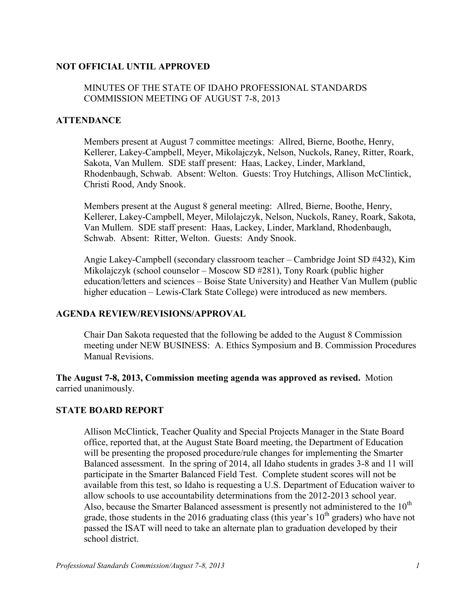### **NOT OFFICIAL UNTIL APPROVED**

## MINUTES OF THE STATE OF IDAHO PROFESSIONAL STANDARDS COMMISSION MEETING OF AUGUST 7-8, 2013

### **ATTENDANCE**

Members present at August 7 committee meetings: Allred, Bierne, Boothe, Henry, Kellerer, Lakey-Campbell, Meyer, Mikolajczyk, Nelson, Nuckols, Raney, Ritter, Roark, Sakota, Van Mullem. SDE staff present: Haas, Lackey, Linder, Markland, Rhodenbaugh, Schwab. Absent: Welton. Guests: Troy Hutchings, Allison McClintick, Christi Rood, Andy Snook.

Members present at the August 8 general meeting: Allred, Bierne, Boothe, Henry, Kellerer, Lakey-Campbell, Meyer, Milolajczyk, Nelson, Nuckols, Raney, Roark, Sakota, Van Mullem. SDE staff present: Haas, Lackey, Linder, Markland, Rhodenbaugh, Schwab. Absent: Ritter, Welton. Guests: Andy Snook.

Angie Lakey-Campbell (secondary classroom teacher – Cambridge Joint SD #432), Kim Mikolajczyk (school counselor – Moscow SD #281), Tony Roark (public higher education/letters and sciences – Boise State University) and Heather Van Mullem (public higher education – Lewis-Clark State College) were introduced as new members.

### **AGENDA REVIEW/REVISIONS/APPROVAL**

Chair Dan Sakota requested that the following be added to the August 8 Commission meeting under NEW BUSINESS: A. Ethics Symposium and B. Commission Procedures Manual Revisions.

**The August 7-8, 2013, Commission meeting agenda was approved as revised.** Motion carried unanimously.

### **STATE BOARD REPORT**

Allison McClintick, Teacher Quality and Special Projects Manager in the State Board office, reported that, at the August State Board meeting, the Department of Education will be presenting the proposed procedure/rule changes for implementing the Smarter Balanced assessment. In the spring of 2014, all Idaho students in grades 3-8 and 11 will participate in the Smarter Balanced Field Test. Complete student scores will not be available from this test, so Idaho is requesting a U.S. Department of Education waiver to allow schools to use accountability determinations from the 2012-2013 school year. Also, because the Smarter Balanced assessment is presently not administered to the  $10<sup>th</sup>$ grade, those students in the 2016 graduating class (this year's  $10<sup>th</sup>$  graders) who have not passed the ISAT will need to take an alternate plan to graduation developed by their school district.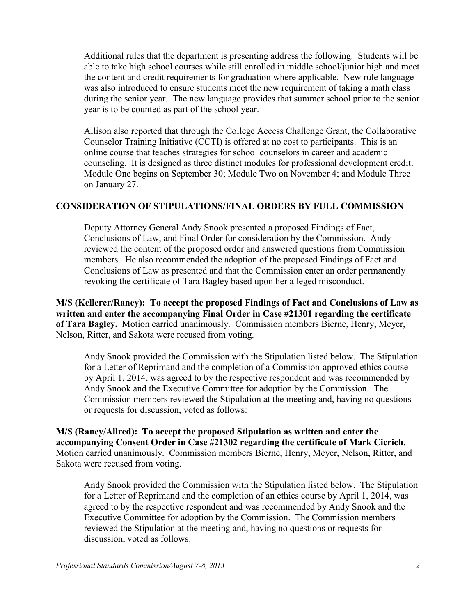Additional rules that the department is presenting address the following. Students will be able to take high school courses while still enrolled in middle school/junior high and meet the content and credit requirements for graduation where applicable. New rule language was also introduced to ensure students meet the new requirement of taking a math class during the senior year. The new language provides that summer school prior to the senior year is to be counted as part of the school year.

Allison also reported that through the College Access Challenge Grant, the Collaborative Counselor Training Initiative (CCTI) is offered at no cost to participants. This is an online course that teaches strategies for school counselors in career and academic counseling. It is designed as three distinct modules for professional development credit. Module One begins on September 30; Module Two on November 4; and Module Three on January 27.

### **CONSIDERATION OF STIPULATIONS/FINAL ORDERS BY FULL COMMISSION**

Deputy Attorney General Andy Snook presented a proposed Findings of Fact, Conclusions of Law, and Final Order for consideration by the Commission. Andy reviewed the content of the proposed order and answered questions from Commission members. He also recommended the adoption of the proposed Findings of Fact and Conclusions of Law as presented and that the Commission enter an order permanently revoking the certificate of Tara Bagley based upon her alleged misconduct.

**M/S (Kellerer/Raney): To accept the proposed Findings of Fact and Conclusions of Law as written and enter the accompanying Final Order in Case #21301 regarding the certificate of Tara Bagley.** Motion carried unanimously. Commission members Bierne, Henry, Meyer, Nelson, Ritter, and Sakota were recused from voting.

Andy Snook provided the Commission with the Stipulation listed below. The Stipulation for a Letter of Reprimand and the completion of a Commission-approved ethics course by April 1, 2014, was agreed to by the respective respondent and was recommended by Andy Snook and the Executive Committee for adoption by the Commission. The Commission members reviewed the Stipulation at the meeting and, having no questions or requests for discussion, voted as follows:

**M/S (Raney/Allred): To accept the proposed Stipulation as written and enter the accompanying Consent Order in Case #21302 regarding the certificate of Mark Cicrich.**  Motion carried unanimously. Commission members Bierne, Henry, Meyer, Nelson, Ritter, and Sakota were recused from voting.

Andy Snook provided the Commission with the Stipulation listed below. The Stipulation for a Letter of Reprimand and the completion of an ethics course by April 1, 2014, was agreed to by the respective respondent and was recommended by Andy Snook and the Executive Committee for adoption by the Commission. The Commission members reviewed the Stipulation at the meeting and, having no questions or requests for discussion, voted as follows: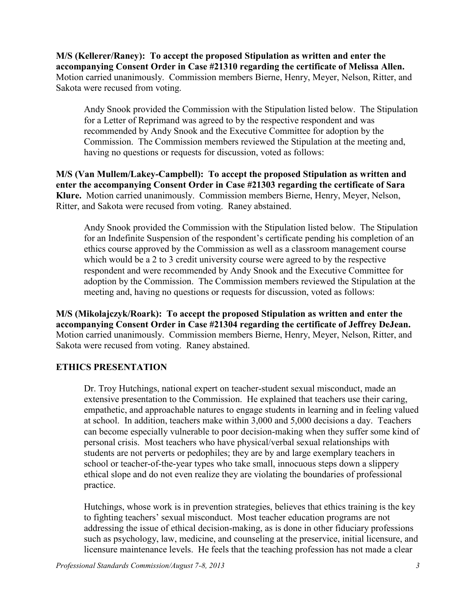**M/S (Kellerer/Raney): To accept the proposed Stipulation as written and enter the accompanying Consent Order in Case #21310 regarding the certificate of Melissa Allen.**  Motion carried unanimously. Commission members Bierne, Henry, Meyer, Nelson, Ritter, and Sakota were recused from voting.

Andy Snook provided the Commission with the Stipulation listed below. The Stipulation for a Letter of Reprimand was agreed to by the respective respondent and was recommended by Andy Snook and the Executive Committee for adoption by the Commission. The Commission members reviewed the Stipulation at the meeting and, having no questions or requests for discussion, voted as follows:

**M/S (Van Mullem/Lakey-Campbell): To accept the proposed Stipulation as written and enter the accompanying Consent Order in Case #21303 regarding the certificate of Sara Klure.** Motion carried unanimously. Commission members Bierne, Henry, Meyer, Nelson, Ritter, and Sakota were recused from voting. Raney abstained.

Andy Snook provided the Commission with the Stipulation listed below. The Stipulation for an Indefinite Suspension of the respondent's certificate pending his completion of an ethics course approved by the Commission as well as a classroom management course which would be a 2 to 3 credit university course were agreed to by the respective respondent and were recommended by Andy Snook and the Executive Committee for adoption by the Commission. The Commission members reviewed the Stipulation at the meeting and, having no questions or requests for discussion, voted as follows:

**M/S (Mikolajczyk/Roark): To accept the proposed Stipulation as written and enter the accompanying Consent Order in Case #21304 regarding the certificate of Jeffrey DeJean.**  Motion carried unanimously. Commission members Bierne, Henry, Meyer, Nelson, Ritter, and Sakota were recused from voting. Raney abstained.

## **ETHICS PRESENTATION**

Dr. Troy Hutchings, national expert on teacher-student sexual misconduct, made an extensive presentation to the Commission. He explained that teachers use their caring, empathetic, and approachable natures to engage students in learning and in feeling valued at school. In addition, teachers make within 3,000 and 5,000 decisions a day. Teachers can become especially vulnerable to poor decision-making when they suffer some kind of personal crisis. Most teachers who have physical/verbal sexual relationships with students are not perverts or pedophiles; they are by and large exemplary teachers in school or teacher-of-the-year types who take small, innocuous steps down a slippery ethical slope and do not even realize they are violating the boundaries of professional practice.

Hutchings, whose work is in prevention strategies, believes that ethics training is the key to fighting teachers' sexual misconduct. Most teacher education programs are not addressing the issue of ethical decision-making, as is done in other fiduciary professions such as psychology, law, medicine, and counseling at the preservice, initial licensure, and licensure maintenance levels. He feels that the teaching profession has not made a clear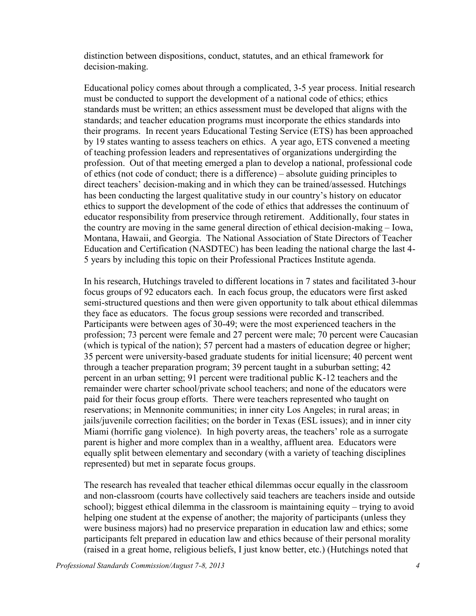distinction between dispositions, conduct, statutes, and an ethical framework for decision-making.

Educational policy comes about through a complicated, 3-5 year process. Initial research must be conducted to support the development of a national code of ethics; ethics standards must be written; an ethics assessment must be developed that aligns with the standards; and teacher education programs must incorporate the ethics standards into their programs. In recent years Educational Testing Service (ETS) has been approached by 19 states wanting to assess teachers on ethics. A year ago, ETS convened a meeting of teaching profession leaders and representatives of organizations undergirding the profession. Out of that meeting emerged a plan to develop a national, professional code of ethics (not code of conduct; there is a difference) – absolute guiding principles to direct teachers' decision-making and in which they can be trained/assessed. Hutchings has been conducting the largest qualitative study in our country's history on educator ethics to support the development of the code of ethics that addresses the continuum of educator responsibility from preservice through retirement. Additionally, four states in the country are moving in the same general direction of ethical decision-making – Iowa, Montana, Hawaii, and Georgia. The National Association of State Directors of Teacher Education and Certification (NASDTEC) has been leading the national charge the last 4- 5 years by including this topic on their Professional Practices Institute agenda.

In his research, Hutchings traveled to different locations in 7 states and facilitated 3-hour focus groups of 92 educators each. In each focus group, the educators were first asked semi-structured questions and then were given opportunity to talk about ethical dilemmas they face as educators. The focus group sessions were recorded and transcribed. Participants were between ages of 30-49; were the most experienced teachers in the profession; 73 percent were female and 27 percent were male; 70 percent were Caucasian (which is typical of the nation); 57 percent had a masters of education degree or higher; 35 percent were university-based graduate students for initial licensure; 40 percent went through a teacher preparation program; 39 percent taught in a suburban setting; 42 percent in an urban setting; 91 percent were traditional public K-12 teachers and the remainder were charter school/private school teachers; and none of the educators were paid for their focus group efforts. There were teachers represented who taught on reservations; in Mennonite communities; in inner city Los Angeles; in rural areas; in jails/juvenile correction facilities; on the border in Texas (ESL issues); and in inner city Miami (horrific gang violence). In high poverty areas, the teachers' role as a surrogate parent is higher and more complex than in a wealthy, affluent area. Educators were equally split between elementary and secondary (with a variety of teaching disciplines represented) but met in separate focus groups.

The research has revealed that teacher ethical dilemmas occur equally in the classroom and non-classroom (courts have collectively said teachers are teachers inside and outside school); biggest ethical dilemma in the classroom is maintaining equity – trying to avoid helping one student at the expense of another; the majority of participants (unless they were business majors) had no preservice preparation in education law and ethics; some participants felt prepared in education law and ethics because of their personal morality (raised in a great home, religious beliefs, I just know better, etc.) (Hutchings noted that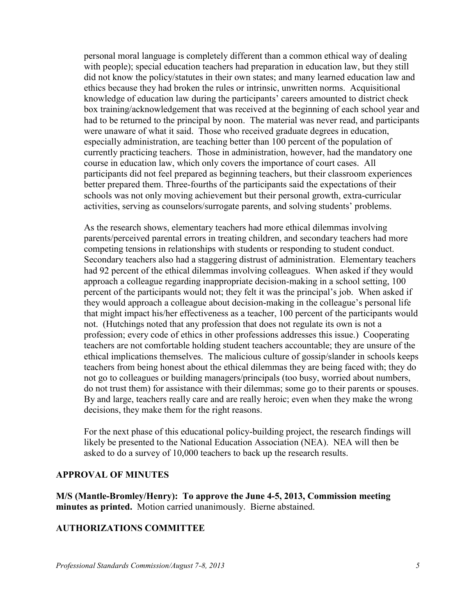personal moral language is completely different than a common ethical way of dealing with people); special education teachers had preparation in education law, but they still did not know the policy/statutes in their own states; and many learned education law and ethics because they had broken the rules or intrinsic, unwritten norms. Acquisitional knowledge of education law during the participants' careers amounted to district check box training/acknowledgement that was received at the beginning of each school year and had to be returned to the principal by noon. The material was never read, and participants were unaware of what it said. Those who received graduate degrees in education, especially administration, are teaching better than 100 percent of the population of currently practicing teachers. Those in administration, however, had the mandatory one course in education law, which only covers the importance of court cases. All participants did not feel prepared as beginning teachers, but their classroom experiences better prepared them. Three-fourths of the participants said the expectations of their schools was not only moving achievement but their personal growth, extra-curricular activities, serving as counselors/surrogate parents, and solving students' problems.

As the research shows, elementary teachers had more ethical dilemmas involving parents/perceived parental errors in treating children, and secondary teachers had more competing tensions in relationships with students or responding to student conduct. Secondary teachers also had a staggering distrust of administration. Elementary teachers had 92 percent of the ethical dilemmas involving colleagues. When asked if they would approach a colleague regarding inappropriate decision-making in a school setting, 100 percent of the participants would not; they felt it was the principal's job. When asked if they would approach a colleague about decision-making in the colleague's personal life that might impact his/her effectiveness as a teacher, 100 percent of the participants would not. (Hutchings noted that any profession that does not regulate its own is not a profession; every code of ethics in other professions addresses this issue.) Cooperating teachers are not comfortable holding student teachers accountable; they are unsure of the ethical implications themselves. The malicious culture of gossip/slander in schools keeps teachers from being honest about the ethical dilemmas they are being faced with; they do not go to colleagues or building managers/principals (too busy, worried about numbers, do not trust them) for assistance with their dilemmas; some go to their parents or spouses. By and large, teachers really care and are really heroic; even when they make the wrong decisions, they make them for the right reasons.

For the next phase of this educational policy-building project, the research findings will likely be presented to the National Education Association (NEA). NEA will then be asked to do a survey of 10,000 teachers to back up the research results.

### **APPROVAL OF MINUTES**

**M/S (Mantle-Bromley/Henry): To approve the June 4-5, 2013, Commission meeting minutes as printed.** Motion carried unanimously. Bierne abstained.

### **AUTHORIZATIONS COMMITTEE**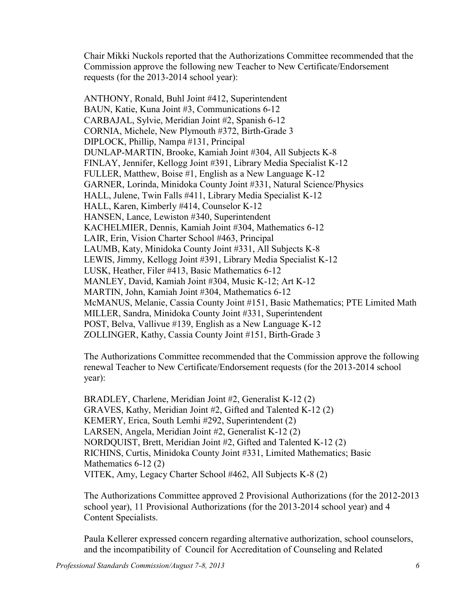Chair Mikki Nuckols reported that the Authorizations Committee recommended that the Commission approve the following new Teacher to New Certificate/Endorsement requests (for the 2013-2014 school year):

ANTHONY, Ronald, Buhl Joint #412, Superintendent BAUN, Katie, Kuna Joint #3, Communications 6-12 CARBAJAL, Sylvie, Meridian Joint #2, Spanish 6-12 CORNIA, Michele, New Plymouth #372, Birth-Grade 3 DIPLOCK, Phillip, Nampa #131, Principal DUNLAP-MARTIN, Brooke, Kamiah Joint #304, All Subjects K-8 FINLAY, Jennifer, Kellogg Joint #391, Library Media Specialist K-12 FULLER, Matthew, Boise #1, English as a New Language K-12 GARNER, Lorinda, Minidoka County Joint #331, Natural Science/Physics HALL, Julene, Twin Falls #411, Library Media Specialist K-12 HALL, Karen, Kimberly #414, Counselor K-12 HANSEN, Lance, Lewiston #340, Superintendent KACHELMIER, Dennis, Kamiah Joint #304, Mathematics 6-12 LAIR, Erin, Vision Charter School #463, Principal LAUMB, Katy, Minidoka County Joint #331, All Subjects K-8 LEWIS, Jimmy, Kellogg Joint #391, Library Media Specialist K-12 LUSK, Heather, Filer #413, Basic Mathematics 6-12 MANLEY, David, Kamiah Joint #304, Music K-12; Art K-12 MARTIN, John, Kamiah Joint #304, Mathematics 6-12 McMANUS, Melanie, Cassia County Joint #151, Basic Mathematics; PTE Limited Math MILLER, Sandra, Minidoka County Joint #331, Superintendent POST, Belva, Vallivue #139, English as a New Language K-12 ZOLLINGER, Kathy, Cassia County Joint #151, Birth-Grade 3

The Authorizations Committee recommended that the Commission approve the following renewal Teacher to New Certificate/Endorsement requests (for the 2013-2014 school year):

BRADLEY, Charlene, Meridian Joint #2, Generalist K-12 (2) GRAVES, Kathy, Meridian Joint #2, Gifted and Talented K-12 (2) KEMERY, Erica, South Lemhi #292, Superintendent (2) LARSEN, Angela, Meridian Joint #2, Generalist K-12 (2) NORDQUIST, Brett, Meridian Joint #2, Gifted and Talented K-12 (2) RICHINS, Curtis, Minidoka County Joint #331, Limited Mathematics; Basic Mathematics 6-12 (2) VITEK, Amy, Legacy Charter School #462, All Subjects K-8 (2)

The Authorizations Committee approved 2 Provisional Authorizations (for the 2012-2013 school year), 11 Provisional Authorizations (for the 2013-2014 school year) and 4 Content Specialists.

Paula Kellerer expressed concern regarding alternative authorization, school counselors, and the incompatibility of Council for Accreditation of Counseling and Related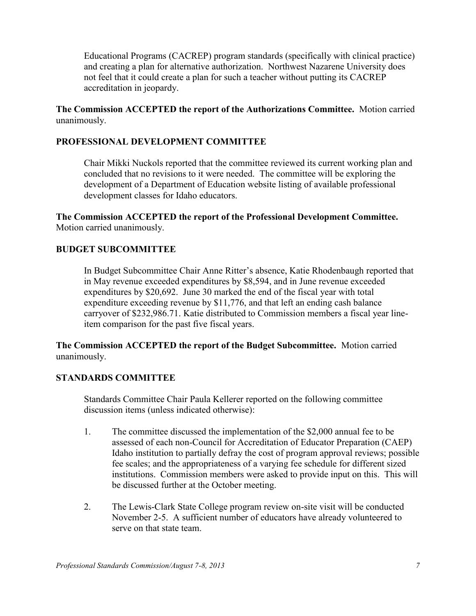Educational Programs (CACREP) program standards (specifically with clinical practice) and creating a plan for alternative authorization. Northwest Nazarene University does not feel that it could create a plan for such a teacher without putting its CACREP accreditation in jeopardy.

## **The Commission ACCEPTED the report of the Authorizations Committee.** Motion carried unanimously.

## **PROFESSIONAL DEVELOPMENT COMMITTEE**

Chair Mikki Nuckols reported that the committee reviewed its current working plan and concluded that no revisions to it were needed. The committee will be exploring the development of a Department of Education website listing of available professional development classes for Idaho educators.

**The Commission ACCEPTED the report of the Professional Development Committee.**  Motion carried unanimously.

## **BUDGET SUBCOMMITTEE**

In Budget Subcommittee Chair Anne Ritter's absence, Katie Rhodenbaugh reported that in May revenue exceeded expenditures by \$8,594, and in June revenue exceeded expenditures by \$20,692. June 30 marked the end of the fiscal year with total expenditure exceeding revenue by \$11,776, and that left an ending cash balance carryover of \$232,986.71. Katie distributed to Commission members a fiscal year lineitem comparison for the past five fiscal years.

**The Commission ACCEPTED the report of the Budget Subcommittee.** Motion carried unanimously.

## **STANDARDS COMMITTEE**

Standards Committee Chair Paula Kellerer reported on the following committee discussion items (unless indicated otherwise):

- 1. The committee discussed the implementation of the \$2,000 annual fee to be assessed of each non-Council for Accreditation of Educator Preparation (CAEP) Idaho institution to partially defray the cost of program approval reviews; possible fee scales; and the appropriateness of a varying fee schedule for different sized institutions. Commission members were asked to provide input on this. This will be discussed further at the October meeting.
- 2. The Lewis-Clark State College program review on-site visit will be conducted November 2-5. A sufficient number of educators have already volunteered to serve on that state team.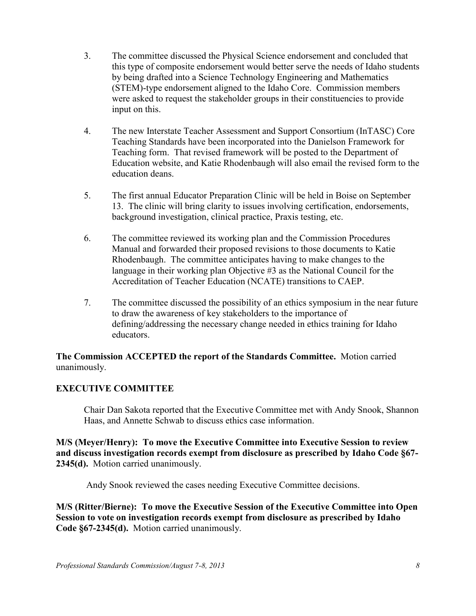- 3. The committee discussed the Physical Science endorsement and concluded that this type of composite endorsement would better serve the needs of Idaho students by being drafted into a Science Technology Engineering and Mathematics (STEM)-type endorsement aligned to the Idaho Core. Commission members were asked to request the stakeholder groups in their constituencies to provide input on this.
- 4. The new Interstate Teacher Assessment and Support Consortium (InTASC) Core Teaching Standards have been incorporated into the Danielson Framework for Teaching form. That revised framework will be posted to the Department of Education website, and Katie Rhodenbaugh will also email the revised form to the education deans.
- 5. The first annual Educator Preparation Clinic will be held in Boise on September 13. The clinic will bring clarity to issues involving certification, endorsements, background investigation, clinical practice, Praxis testing, etc.
- 6. The committee reviewed its working plan and the Commission Procedures Manual and forwarded their proposed revisions to those documents to Katie Rhodenbaugh. The committee anticipates having to make changes to the language in their working plan Objective #3 as the National Council for the Accreditation of Teacher Education (NCATE) transitions to CAEP.
- 7. The committee discussed the possibility of an ethics symposium in the near future to draw the awareness of key stakeholders to the importance of defining/addressing the necessary change needed in ethics training for Idaho educators.

**The Commission ACCEPTED the report of the Standards Committee.** Motion carried unanimously.

## **EXECUTIVE COMMITTEE**

Chair Dan Sakota reported that the Executive Committee met with Andy Snook, Shannon Haas, and Annette Schwab to discuss ethics case information.

**M/S (Meyer/Henry): To move the Executive Committee into Executive Session to review and discuss investigation records exempt from disclosure as prescribed by Idaho Code §67- 2345(d).** Motion carried unanimously.

Andy Snook reviewed the cases needing Executive Committee decisions.

**M/S (Ritter/Bierne): To move the Executive Session of the Executive Committee into Open Session to vote on investigation records exempt from disclosure as prescribed by Idaho Code §67-2345(d).** Motion carried unanimously.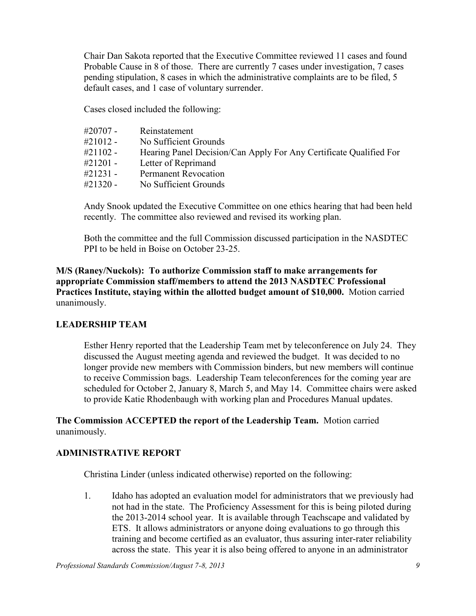Chair Dan Sakota reported that the Executive Committee reviewed 11 cases and found Probable Cause in 8 of those. There are currently 7 cases under investigation, 7 cases pending stipulation, 8 cases in which the administrative complaints are to be filed, 5 default cases, and 1 case of voluntary surrender.

Cases closed included the following:

| #20707 -    | Reinstatement                                                      |
|-------------|--------------------------------------------------------------------|
| $\#21012 -$ | No Sufficient Grounds                                              |
| $#21102 -$  | Hearing Panel Decision/Can Apply For Any Certificate Qualified For |
| $\#21201 -$ | Letter of Reprimand                                                |
| $\#21231 -$ | <b>Permanent Revocation</b>                                        |
| $#21320 -$  | No Sufficient Grounds                                              |

Andy Snook updated the Executive Committee on one ethics hearing that had been held recently. The committee also reviewed and revised its working plan.

Both the committee and the full Commission discussed participation in the NASDTEC PPI to be held in Boise on October 23-25.

**M/S (Raney/Nuckols): To authorize Commission staff to make arrangements for appropriate Commission staff/members to attend the 2013 NASDTEC Professional Practices Institute, staying within the allotted budget amount of \$10,000.** Motion carried unanimously.

## **LEADERSHIP TEAM**

Esther Henry reported that the Leadership Team met by teleconference on July 24. They discussed the August meeting agenda and reviewed the budget. It was decided to no longer provide new members with Commission binders, but new members will continue to receive Commission bags. Leadership Team teleconferences for the coming year are scheduled for October 2, January 8, March 5, and May 14. Committee chairs were asked to provide Katie Rhodenbaugh with working plan and Procedures Manual updates.

**The Commission ACCEPTED the report of the Leadership Team.** Motion carried unanimously.

## **ADMINISTRATIVE REPORT**

Christina Linder (unless indicated otherwise) reported on the following:

1. Idaho has adopted an evaluation model for administrators that we previously had not had in the state. The Proficiency Assessment for this is being piloted during the 2013-2014 school year. It is available through Teachscape and validated by ETS. It allows administrators or anyone doing evaluations to go through this training and become certified as an evaluator, thus assuring inter-rater reliability across the state. This year it is also being offered to anyone in an administrator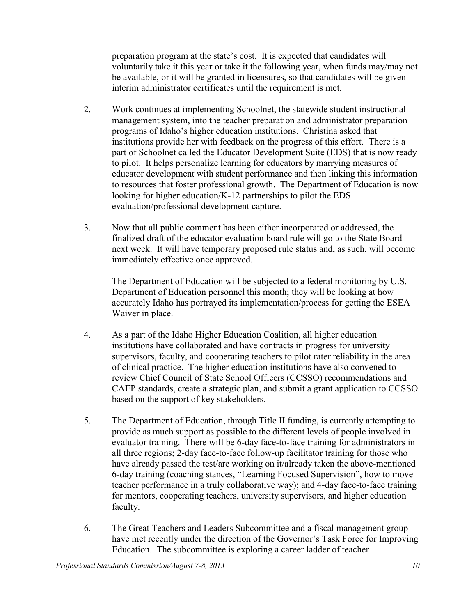preparation program at the state's cost. It is expected that candidates will voluntarily take it this year or take it the following year, when funds may/may not be available, or it will be granted in licensures, so that candidates will be given interim administrator certificates until the requirement is met.

- 2. Work continues at implementing Schoolnet, the statewide student instructional management system, into the teacher preparation and administrator preparation programs of Idaho's higher education institutions. Christina asked that institutions provide her with feedback on the progress of this effort. There is a part of Schoolnet called the Educator Development Suite (EDS) that is now ready to pilot. It helps personalize learning for educators by marrying measures of educator development with student performance and then linking this information to resources that foster professional growth. The Department of Education is now looking for higher education/K-12 partnerships to pilot the EDS evaluation/professional development capture.
- 3. Now that all public comment has been either incorporated or addressed, the finalized draft of the educator evaluation board rule will go to the State Board next week. It will have temporary proposed rule status and, as such, will become immediately effective once approved.

The Department of Education will be subjected to a federal monitoring by U.S. Department of Education personnel this month; they will be looking at how accurately Idaho has portrayed its implementation/process for getting the ESEA Waiver in place.

- 4. As a part of the Idaho Higher Education Coalition, all higher education institutions have collaborated and have contracts in progress for university supervisors, faculty, and cooperating teachers to pilot rater reliability in the area of clinical practice. The higher education institutions have also convened to review Chief Council of State School Officers (CCSSO) recommendations and CAEP standards, create a strategic plan, and submit a grant application to CCSSO based on the support of key stakeholders.
- 5. The Department of Education, through Title II funding, is currently attempting to provide as much support as possible to the different levels of people involved in evaluator training. There will be 6-day face-to-face training for administrators in all three regions; 2-day face-to-face follow-up facilitator training for those who have already passed the test/are working on it/already taken the above-mentioned 6-day training (coaching stances, "Learning Focused Supervision", how to move teacher performance in a truly collaborative way); and 4-day face-to-face training for mentors, cooperating teachers, university supervisors, and higher education faculty.
- 6. The Great Teachers and Leaders Subcommittee and a fiscal management group have met recently under the direction of the Governor's Task Force for Improving Education. The subcommittee is exploring a career ladder of teacher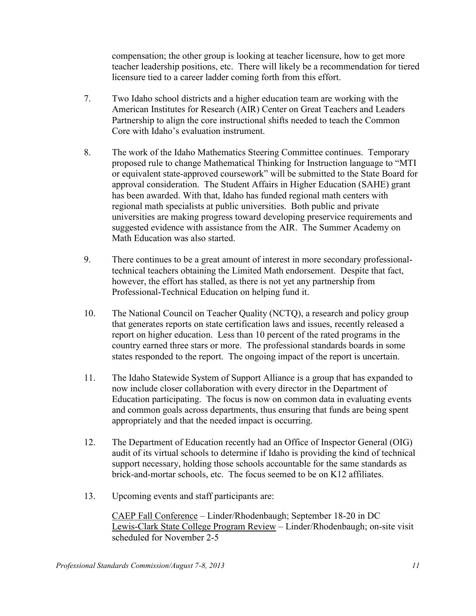compensation; the other group is looking at teacher licensure, how to get more teacher leadership positions, etc. There will likely be a recommendation for tiered licensure tied to a career ladder coming forth from this effort.

- 7. Two Idaho school districts and a higher education team are working with the American Institutes for Research (AIR) Center on Great Teachers and Leaders Partnership to align the core instructional shifts needed to teach the Common Core with Idaho's evaluation instrument.
- 8. The work of the Idaho Mathematics Steering Committee continues. Temporary proposed rule to change Mathematical Thinking for Instruction language to "MTI or equivalent state-approved coursework" will be submitted to the State Board for approval consideration. The Student Affairs in Higher Education (SAHE) grant has been awarded. With that, Idaho has funded regional math centers with regional math specialists at public universities. Both public and private universities are making progress toward developing preservice requirements and suggested evidence with assistance from the AIR. The Summer Academy on Math Education was also started.
- 9. There continues to be a great amount of interest in more secondary professionaltechnical teachers obtaining the Limited Math endorsement. Despite that fact, however, the effort has stalled, as there is not yet any partnership from Professional-Technical Education on helping fund it.
- 10. The National Council on Teacher Quality (NCTQ), a research and policy group that generates reports on state certification laws and issues, recently released a report on higher education. Less than 10 percent of the rated programs in the country earned three stars or more. The professional standards boards in some states responded to the report. The ongoing impact of the report is uncertain.
- 11. The Idaho Statewide System of Support Alliance is a group that has expanded to now include closer collaboration with every director in the Department of Education participating. The focus is now on common data in evaluating events and common goals across departments, thus ensuring that funds are being spent appropriately and that the needed impact is occurring.
- 12. The Department of Education recently had an Office of Inspector General (OIG) audit of its virtual schools to determine if Idaho is providing the kind of technical support necessary, holding those schools accountable for the same standards as brick-and-mortar schools, etc. The focus seemed to be on K12 affiliates.
- 13. Upcoming events and staff participants are:

CAEP Fall Conference – Linder/Rhodenbaugh; September 18-20 in DC Lewis-Clark State College Program Review – Linder/Rhodenbaugh; on-site visit scheduled for November 2-5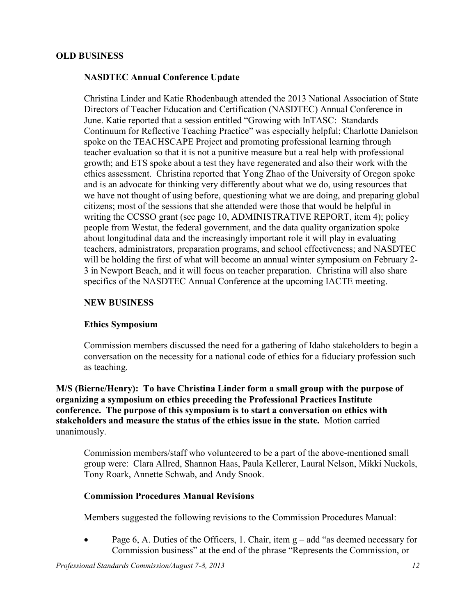### **OLD BUSINESS**

### **NASDTEC Annual Conference Update**

Christina Linder and Katie Rhodenbaugh attended the 2013 National Association of State Directors of Teacher Education and Certification (NASDTEC) Annual Conference in June. Katie reported that a session entitled "Growing with InTASC: Standards Continuum for Reflective Teaching Practice" was especially helpful; Charlotte Danielson spoke on the TEACHSCAPE Project and promoting professional learning through teacher evaluation so that it is not a punitive measure but a real help with professional growth; and ETS spoke about a test they have regenerated and also their work with the ethics assessment. Christina reported that Yong Zhao of the University of Oregon spoke and is an advocate for thinking very differently about what we do, using resources that we have not thought of using before, questioning what we are doing, and preparing global citizens; most of the sessions that she attended were those that would be helpful in writing the CCSSO grant (see page 10, ADMINISTRATIVE REPORT, item 4); policy people from Westat, the federal government, and the data quality organization spoke about longitudinal data and the increasingly important role it will play in evaluating teachers, administrators, preparation programs, and school effectiveness; and NASDTEC will be holding the first of what will become an annual winter symposium on February 2-3 in Newport Beach, and it will focus on teacher preparation. Christina will also share specifics of the NASDTEC Annual Conference at the upcoming IACTE meeting.

### **NEW BUSINESS**

### **Ethics Symposium**

Commission members discussed the need for a gathering of Idaho stakeholders to begin a conversation on the necessity for a national code of ethics for a fiduciary profession such as teaching.

**M/S (Bierne/Henry): To have Christina Linder form a small group with the purpose of organizing a symposium on ethics preceding the Professional Practices Institute conference. The purpose of this symposium is to start a conversation on ethics with stakeholders and measure the status of the ethics issue in the state.** Motion carried unanimously.

Commission members/staff who volunteered to be a part of the above-mentioned small group were: Clara Allred, Shannon Haas, Paula Kellerer, Laural Nelson, Mikki Nuckols, Tony Roark, Annette Schwab, and Andy Snook.

### **Commission Procedures Manual Revisions**

Members suggested the following revisions to the Commission Procedures Manual:

• Page 6, A. Duties of the Officers, 1. Chair, item  $g - add$  "as deemed necessary for Commission business" at the end of the phrase "Represents the Commission, or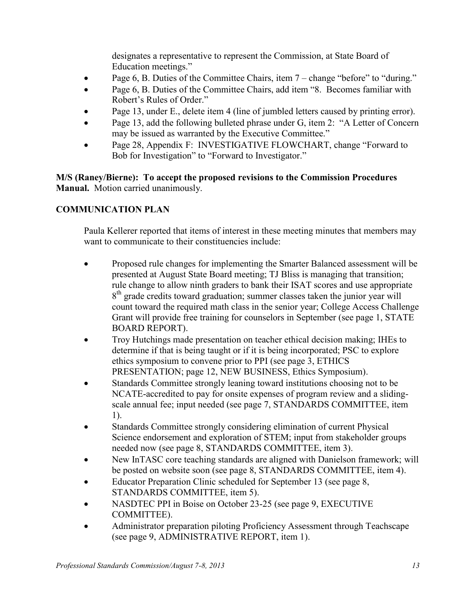designates a representative to represent the Commission, at State Board of Education meetings."

- Page 6, B. Duties of the Committee Chairs, item 7 change "before" to "during."
- Page 6, B. Duties of the Committee Chairs, add item "8. Becomes familiar with Robert's Rules of Order."
- Page 13, under E., delete item 4 (line of jumbled letters caused by printing error).
- Page 13, add the following bulleted phrase under G, item 2: "A Letter of Concern may be issued as warranted by the Executive Committee."
- Page 28, Appendix F: INVESTIGATIVE FLOWCHART, change "Forward to Bob for Investigation" to "Forward to Investigator."

## **M/S (Raney/Bierne): To accept the proposed revisions to the Commission Procedures Manual.** Motion carried unanimously.

# **COMMUNICATION PLAN**

Paula Kellerer reported that items of interest in these meeting minutes that members may want to communicate to their constituencies include:

- Proposed rule changes for implementing the Smarter Balanced assessment will be presented at August State Board meeting; TJ Bliss is managing that transition; rule change to allow ninth graders to bank their ISAT scores and use appropriate 8<sup>th</sup> grade credits toward graduation; summer classes taken the junior year will count toward the required math class in the senior year; College Access Challenge Grant will provide free training for counselors in September (see page 1, STATE BOARD REPORT).
- Troy Hutchings made presentation on teacher ethical decision making; IHEs to determine if that is being taught or if it is being incorporated; PSC to explore ethics symposium to convene prior to PPI (see page 3, ETHICS PRESENTATION; page 12, NEW BUSINESS, Ethics Symposium).
- Standards Committee strongly leaning toward institutions choosing not to be NCATE-accredited to pay for onsite expenses of program review and a slidingscale annual fee; input needed (see page 7, STANDARDS COMMITTEE, item 1).
- Standards Committee strongly considering elimination of current Physical Science endorsement and exploration of STEM; input from stakeholder groups needed now (see page 8, STANDARDS COMMITTEE, item 3).
- New InTASC core teaching standards are aligned with Danielson framework; will be posted on website soon (see page 8, STANDARDS COMMITTEE, item 4).
- Educator Preparation Clinic scheduled for September 13 (see page 8, STANDARDS COMMITTEE, item 5).
- NASDTEC PPI in Boise on October 23-25 (see page 9, EXECUTIVE COMMITTEE).
- Administrator preparation piloting Proficiency Assessment through Teachscape (see page 9, ADMINISTRATIVE REPORT, item 1).